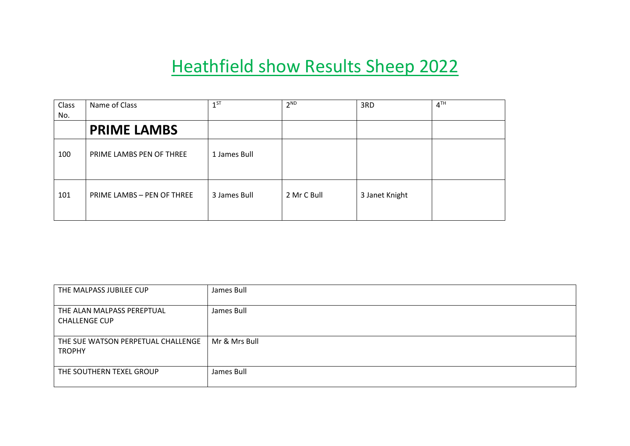## Heathfield show Results Sheep 2022

| Class | Name of Class              | $1^{ST}$     | $2^{ND}$    | 3RD            | 4 <sup>TH</sup> |
|-------|----------------------------|--------------|-------------|----------------|-----------------|
| No.   |                            |              |             |                |                 |
|       | <b>PRIME LAMBS</b>         |              |             |                |                 |
| 100   | PRIME LAMBS PEN OF THREE   | 1 James Bull |             |                |                 |
| 101   | PRIME LAMBS - PEN OF THREE | 3 James Bull | 2 Mr C Bull | 3 Janet Knight |                 |

| THE MALPASS JUBILEE CUP                             | James Bull    |
|-----------------------------------------------------|---------------|
| THE ALAN MALPASS PEREPTUAL<br><b>CHALLENGE CUP</b>  | James Bull    |
| THE SUE WATSON PERPETUAL CHALLENGE<br><b>TROPHY</b> | Mr & Mrs Bull |
| THE SOUTHERN TEXEL GROUP                            | James Bull    |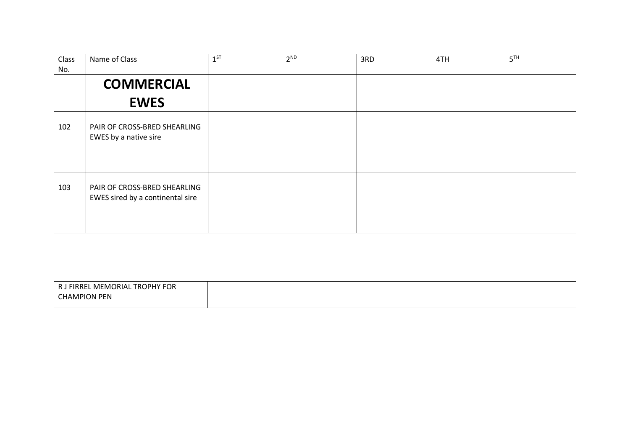| Class<br>No. | Name of Class                                                    | $1^{ST}$ | $2^{ND}$ | 3RD | 4TH | 5 <sup>TH</sup> |
|--------------|------------------------------------------------------------------|----------|----------|-----|-----|-----------------|
|              | <b>COMMERCIAL</b>                                                |          |          |     |     |                 |
|              | <b>EWES</b>                                                      |          |          |     |     |                 |
| 102          | PAIR OF CROSS-BRED SHEARLING<br>EWES by a native sire            |          |          |     |     |                 |
| 103          | PAIR OF CROSS-BRED SHEARLING<br>EWES sired by a continental sire |          |          |     |     |                 |

| TROPHY FOR<br><b>I FIRREL MEMORIAL</b><br>R J |
|-----------------------------------------------|
| l CHAMPION PEN                                |
|                                               |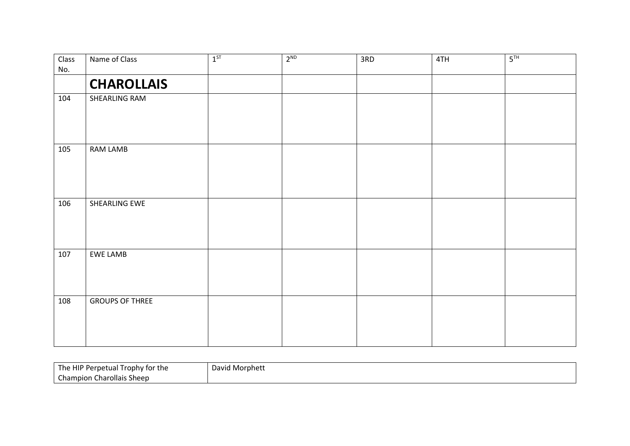| <b>Class</b> | Name of Class          | $1^{ST}$ | $2^{ND}$ | 3RD | 4TH | 5 <sup>TH</sup> |
|--------------|------------------------|----------|----------|-----|-----|-----------------|
| No.          |                        |          |          |     |     |                 |
|              | <b>CHAROLLAIS</b>      |          |          |     |     |                 |
| 104          | SHEARLING RAM          |          |          |     |     |                 |
|              |                        |          |          |     |     |                 |
|              |                        |          |          |     |     |                 |
| 105          | RAM LAMB               |          |          |     |     |                 |
|              |                        |          |          |     |     |                 |
|              |                        |          |          |     |     |                 |
| 106          | SHEARLING EWE          |          |          |     |     |                 |
|              |                        |          |          |     |     |                 |
|              |                        |          |          |     |     |                 |
|              |                        |          |          |     |     |                 |
| 107          | EWE LAMB               |          |          |     |     |                 |
|              |                        |          |          |     |     |                 |
|              |                        |          |          |     |     |                 |
| 108          | <b>GROUPS OF THREE</b> |          |          |     |     |                 |
|              |                        |          |          |     |     |                 |
|              |                        |          |          |     |     |                 |
|              |                        |          |          |     |     |                 |

| The HIP Perpetual Trophy for the | David Morphett |
|----------------------------------|----------------|
| <b>Champion Charollais Sheep</b> |                |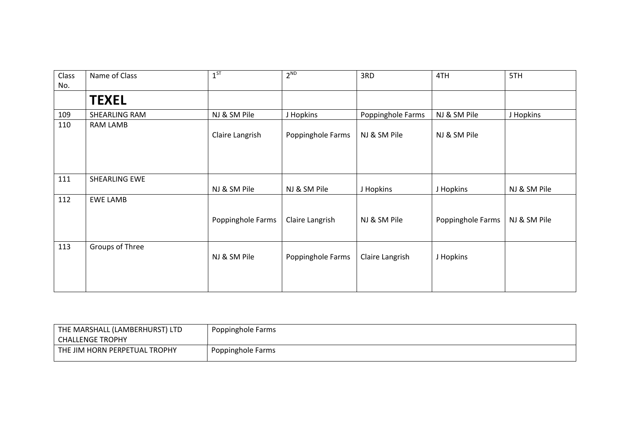| Class | Name of Class   | 1 <sup>ST</sup>   | $2^{ND}$          | 3RD               | 4TH               | 5TH          |
|-------|-----------------|-------------------|-------------------|-------------------|-------------------|--------------|
| No.   |                 |                   |                   |                   |                   |              |
|       | <b>TEXEL</b>    |                   |                   |                   |                   |              |
| 109   | SHEARLING RAM   | NJ & SM Pile      | J Hopkins         | Poppinghole Farms | NJ & SM Pile      | J Hopkins    |
| 110   | RAM LAMB        | Claire Langrish   | Poppinghole Farms | NJ & SM Pile      | NJ & SM Pile      |              |
| 111   | SHEARLING EWE   | NJ & SM Pile      | NJ & SM Pile      | J Hopkins         | J Hopkins         | NJ & SM Pile |
| 112   | <b>EWE LAMB</b> | Poppinghole Farms | Claire Langrish   | NJ & SM Pile      | Poppinghole Farms | NJ & SM Pile |
| 113   | Groups of Three | NJ & SM Pile      | Poppinghole Farms | Claire Langrish   | J Hopkins         |              |

| THE MARSHALL (LAMBERHURST) LTD '<br><b>CHALLENGE TROPHY</b> | Poppinghole Farms |
|-------------------------------------------------------------|-------------------|
| THE JIM HORN PERPETUAL TROPHY                               | Poppinghole Farms |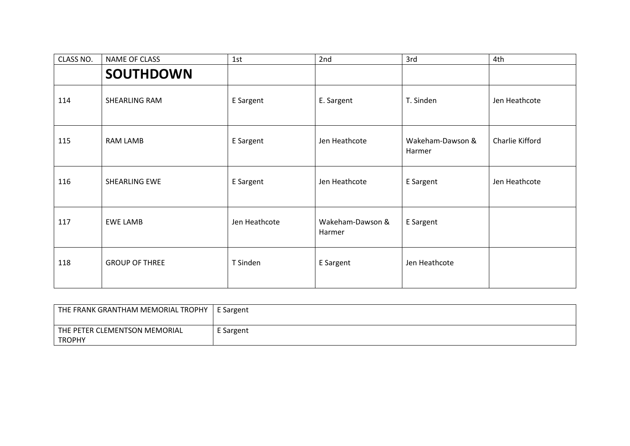| CLASS NO. | NAME OF CLASS         | 1st           | 2nd                        | 3rd                        | 4th             |
|-----------|-----------------------|---------------|----------------------------|----------------------------|-----------------|
|           | <b>SOUTHDOWN</b>      |               |                            |                            |                 |
| 114       | SHEARLING RAM         | E Sargent     | E. Sargent                 | T. Sinden                  | Jen Heathcote   |
| 115       | RAM LAMB              | E Sargent     | Jen Heathcote              | Wakeham-Dawson &<br>Harmer | Charlie Kifford |
| 116       | SHEARLING EWE         | E Sargent     | Jen Heathcote              | E Sargent                  | Jen Heathcote   |
| 117       | <b>EWE LAMB</b>       | Jen Heathcote | Wakeham-Dawson &<br>Harmer | E Sargent                  |                 |
| 118       | <b>GROUP OF THREE</b> | T Sinden      | E Sargent                  | Jen Heathcote              |                 |

| THE FRANK GRANTHAM MEMORIAL TROPHY | E Sargent |
|------------------------------------|-----------|
| THE PETER CLEMENTSON MEMORIAL      | E Sargent |
| <b>TROPHY</b>                      |           |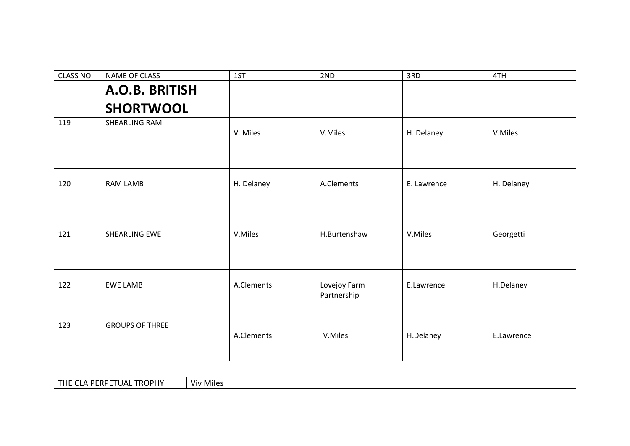| <b>CLASS NO</b> | NAME OF CLASS          | 1ST        | 2ND                         | 3RD         | 4TH        |
|-----------------|------------------------|------------|-----------------------------|-------------|------------|
|                 | A.O.B. BRITISH         |            |                             |             |            |
|                 | <b>SHORTWOOL</b>       |            |                             |             |            |
| 119             | SHEARLING RAM          | V. Miles   | V.Miles                     | H. Delaney  | V.Miles    |
|                 |                        |            |                             |             |            |
| 120             | RAM LAMB               | H. Delaney | A.Clements                  | E. Lawrence | H. Delaney |
|                 |                        |            |                             |             |            |
| 121             | SHEARLING EWE          | V.Miles    | H.Burtenshaw                | V.Miles     | Georgetti  |
| 122             | <b>EWE LAMB</b>        | A.Clements | Lovejoy Farm<br>Partnership | E.Lawrence  | H.Delaney  |
| 123             | <b>GROUPS OF THREE</b> | A.Clements | V.Miles                     | H.Delaney   | E.Lawrence |

|  | <b>TROPHY</b><br>A PERPET<br>TUE.<br>. .<br>TUAL<br>$\sim$<br>VIV.<br><b>CLA</b><br>, <b>. .</b> | $-1$<br>Miles |
|--|--------------------------------------------------------------------------------------------------|---------------|
|--|--------------------------------------------------------------------------------------------------|---------------|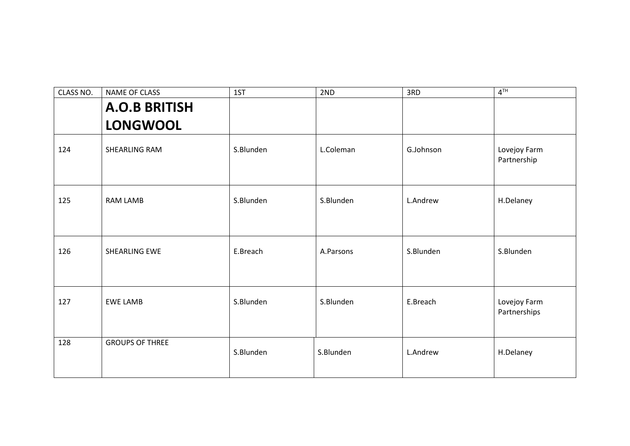| CLASS NO. | NAME OF CLASS          | 1ST       | 2ND       | 3RD       | $4^{TH}$                     |
|-----------|------------------------|-----------|-----------|-----------|------------------------------|
|           | <b>A.O.B BRITISH</b>   |           |           |           |                              |
|           | <b>LONGWOOL</b>        |           |           |           |                              |
| 124       | SHEARLING RAM          | S.Blunden | L.Coleman | G.Johnson | Lovejoy Farm<br>Partnership  |
| 125       | <b>RAM LAMB</b>        | S.Blunden | S.Blunden | L.Andrew  | H.Delaney                    |
| 126       | SHEARLING EWE          | E.Breach  | A.Parsons | S.Blunden | S.Blunden                    |
| 127       | <b>EWE LAMB</b>        | S.Blunden | S.Blunden | E.Breach  | Lovejoy Farm<br>Partnerships |
| 128       | <b>GROUPS OF THREE</b> | S.Blunden | S.Blunden | L.Andrew  | H.Delaney                    |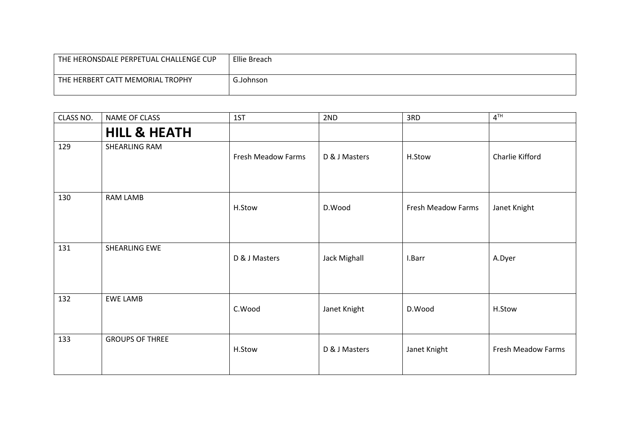| THE HERONSDALE PERPETUAL CHALLENGE CUP | Ellie Breach |
|----------------------------------------|--------------|
| THE HERBERT CATT MEMORIAL TROPHY       | G.Johnson    |

| CLASS NO. | NAME OF CLASS           | 1ST                | 2ND                 | 3RD                | $4^{TH}$                  |
|-----------|-------------------------|--------------------|---------------------|--------------------|---------------------------|
|           | <b>HILL &amp; HEATH</b> |                    |                     |                    |                           |
| 129       | SHEARLING RAM           | Fresh Meadow Farms | D & J Masters       | H.Stow             | Charlie Kifford           |
| 130       | RAM LAMB                | H.Stow             | D.Wood              | Fresh Meadow Farms | Janet Knight              |
| 131       | SHEARLING EWE           | D & J Masters      | <b>Jack Mighall</b> | I.Barr             | A.Dyer                    |
| 132       | <b>EWE LAMB</b>         | C.Wood             | Janet Knight        | D.Wood             | H.Stow                    |
| 133       | <b>GROUPS OF THREE</b>  | H.Stow             | D & J Masters       | Janet Knight       | <b>Fresh Meadow Farms</b> |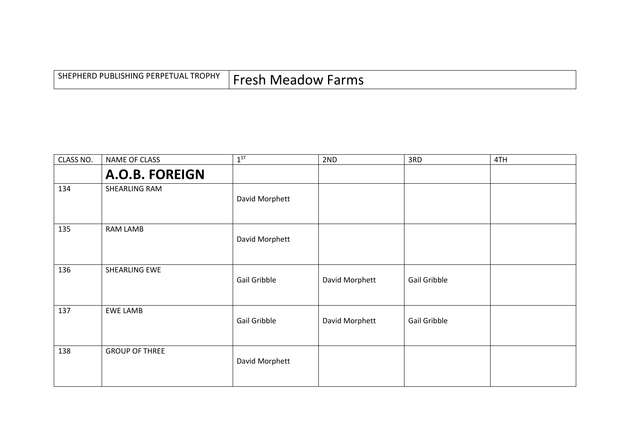| SHEPHERD PUBLISHING PERPETUAL TROPHY | <sup>1</sup> Fresh Meadow Farms |
|--------------------------------------|---------------------------------|
|--------------------------------------|---------------------------------|

| CLASS NO. | NAME OF CLASS         | $1^{ST}$       | 2ND            | 3RD          | 4TH |
|-----------|-----------------------|----------------|----------------|--------------|-----|
|           | A.O.B. FOREIGN        |                |                |              |     |
| 134       | SHEARLING RAM         | David Morphett |                |              |     |
| 135       | RAM LAMB              | David Morphett |                |              |     |
| 136       | SHEARLING EWE         | Gail Gribble   | David Morphett | Gail Gribble |     |
| 137       | <b>EWE LAMB</b>       | Gail Gribble   | David Morphett | Gail Gribble |     |
| 138       | <b>GROUP OF THREE</b> | David Morphett |                |              |     |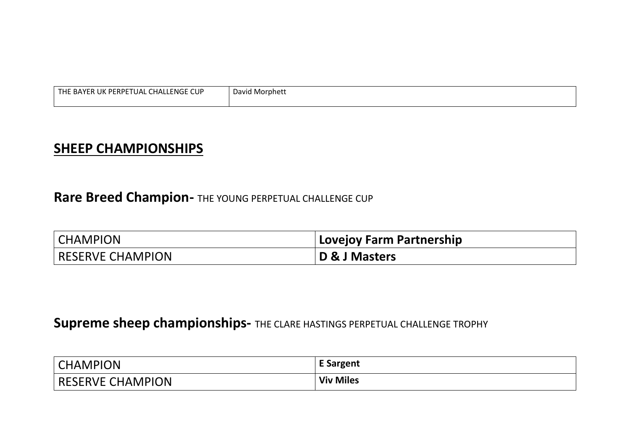| THE BAYER<br>. CHALLENGE CUP<br>: PERPETUAL<br>. UK | David Morphett |
|-----------------------------------------------------|----------------|
|                                                     |                |

## SHEEP CHAMPIONSHIPS

## Rare Breed Champion- THE YOUNG PERPETUAL CHALLENGE CUP

| <b>CHAMPION</b>         | Lovejoy Farm Partnership |
|-------------------------|--------------------------|
| <b>RESERVE CHAMPION</b> | D & J Masters            |

## Supreme sheep championships- THE CLARE HASTINGS PERPETUAL CHALLENGE TROPHY

| <b>CHAMPION</b>  | <b>E</b> Sargent |
|------------------|------------------|
| RESERVE CHAMPION | <b>Viv Miles</b> |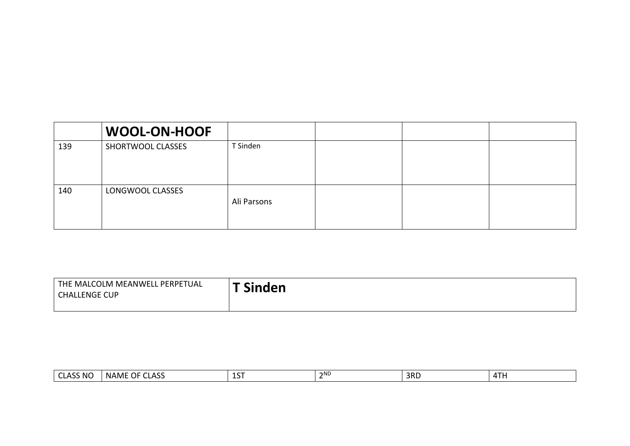|     | <b>WOOL-ON-HOOF</b> |             |  |  |
|-----|---------------------|-------------|--|--|
| 139 | SHORTWOOL CLASSES   | T Sinden    |  |  |
| 140 | LONGWOOL CLASSES    | Ali Parsons |  |  |

| THE MALCOLM MEANWELL PERPETUAL<br><b>CHALLENGE CUP</b> | <b>Sinden</b> |
|--------------------------------------------------------|---------------|
|                                                        |               |

| ISS NG<br>$\sim$<br>$\overline{\phantom{a}}$<br>. u | ハくく<br>OF<br>$\sim$<br>. .<br><b>NAME</b><br>∼∽<br>∼ | 1 C T<br>∸ | ີາN∟ | 3RD | $\sim$ $\sim$ $\sim$<br>$\overline{\phantom{a}}$<br>. |
|-----------------------------------------------------|------------------------------------------------------|------------|------|-----|-------------------------------------------------------|
|-----------------------------------------------------|------------------------------------------------------|------------|------|-----|-------------------------------------------------------|